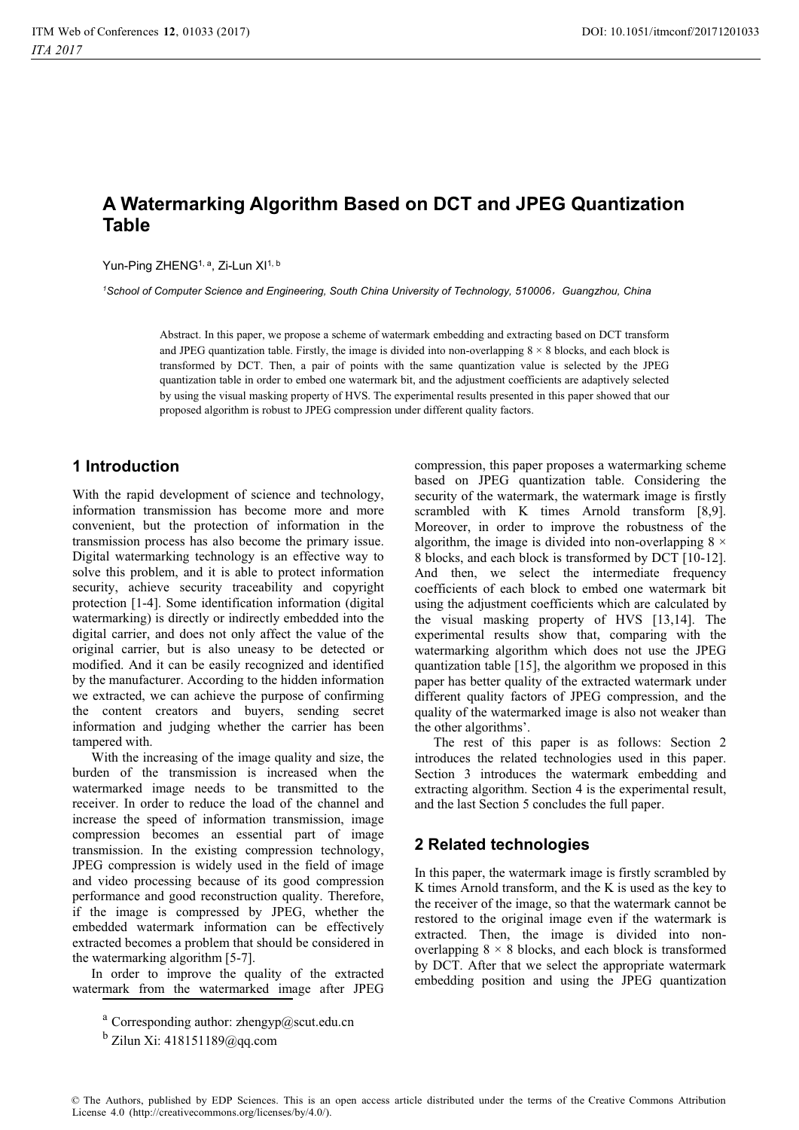# **A Watermarking Algorithm Based on DCT and JPEG Quantization Table**

Yun-Ping ZHENG<sup>1, a</sup>, Zi-Lun XI<sup>1, b</sup>

*1 School of Computer Science and Engineering, South China University of Technology, 510006*ˈ*Guangzhou, China* 

Abstract. In this paper, we propose a scheme of watermark embedding and extracting based on DCT transform and JPEG quantization table. Firstly, the image is divided into non-overlapping  $8 \times 8$  blocks, and each block is transformed by DCT. Then, a pair of points with the same quantization value is selected by the JPEG quantization table in order to embed one watermark bit, and the adjustment coefficients are adaptively selected by using the visual masking property of HVS. The experimental results presented in this paper showed that our proposed algorithm is robust to JPEG compression under different quality factors.

## **1 Introduction**

With the rapid development of science and technology, information transmission has become more and more convenient, but the protection of information in the transmission process has also become the primary issue. Digital watermarking technology is an effective way to solve this problem, and it is able to protect information security, achieve security traceability and copyright protection [1-4]. Some identification information (digital watermarking) is directly or indirectly embedded into the digital carrier, and does not only affect the value of the original carrier, but is also uneasy to be detected or modified. And it can be easily recognized and identified by the manufacturer. According to the hidden information we extracted, we can achieve the purpose of confirming the content creators and buyers, sending secret information and judging whether the carrier has been tampered with.

With the increasing of the image quality and size, the burden of the transmission is increased when the watermarked image needs to be transmitted to the receiver. In order to reduce the load of the channel and increase the speed of information transmission, image compression becomes an essential part of image transmission. In the existing compression technology, JPEG compression is widely used in the field of image and video processing because of its good compression performance and good reconstruction quality. Therefore, if the image is compressed by JPEG, whether the embedded watermark information can be effectively extracted becomes a problem that should be considered in the watermarking algorithm [5-7].

In order to improve the quality of the extracted watermark from the watermarked image after JPEG

compression, this paper proposes a watermarking scheme based on JPEG quantization table. Considering the security of the watermark, the watermark image is firstly scrambled with K times Arnold transform [8,9]. Moreover, in order to improve the robustness of the algorithm, the image is divided into non-overlapping  $8 \times$ 8 blocks, and each block is transformed by DCT [10-12]. And then, we select the intermediate frequency coefficients of each block to embed one watermark bit using the adjustment coefficients which are calculated by the visual masking property of HVS [13,14]. The experimental results show that, comparing with the watermarking algorithm which does not use the JPEG quantization table [15], the algorithm we proposed in this paper has better quality of the extracted watermark under different quality factors of JPEG compression, and the quality of the watermarked image is also not weaker than the other algorithms'.

The rest of this paper is as follows: Section 2 introduces the related technologies used in this paper. Section 3 introduces the watermark embedding and extracting algorithm. Section 4 is the experimental result, and the last Section 5 concludes the full paper.

## **2 Related technologies**

In this paper, the watermark image is firstly scrambled by K times Arnold transform, and the K is used as the key to the receiver of the image, so that the watermark cannot be restored to the original image even if the watermark is extracted. Then, the image is divided into nonoverlapping  $8 \times 8$  blocks, and each block is transformed by DCT. After that we select the appropriate watermark embedding position and using the JPEG quantization

<sup>&</sup>lt;sup>a</sup> Corresponding author: zhengyp@scut.edu.cn

 $<sup>b</sup>$  Zilun Xi: 418151189@qq.com</sup>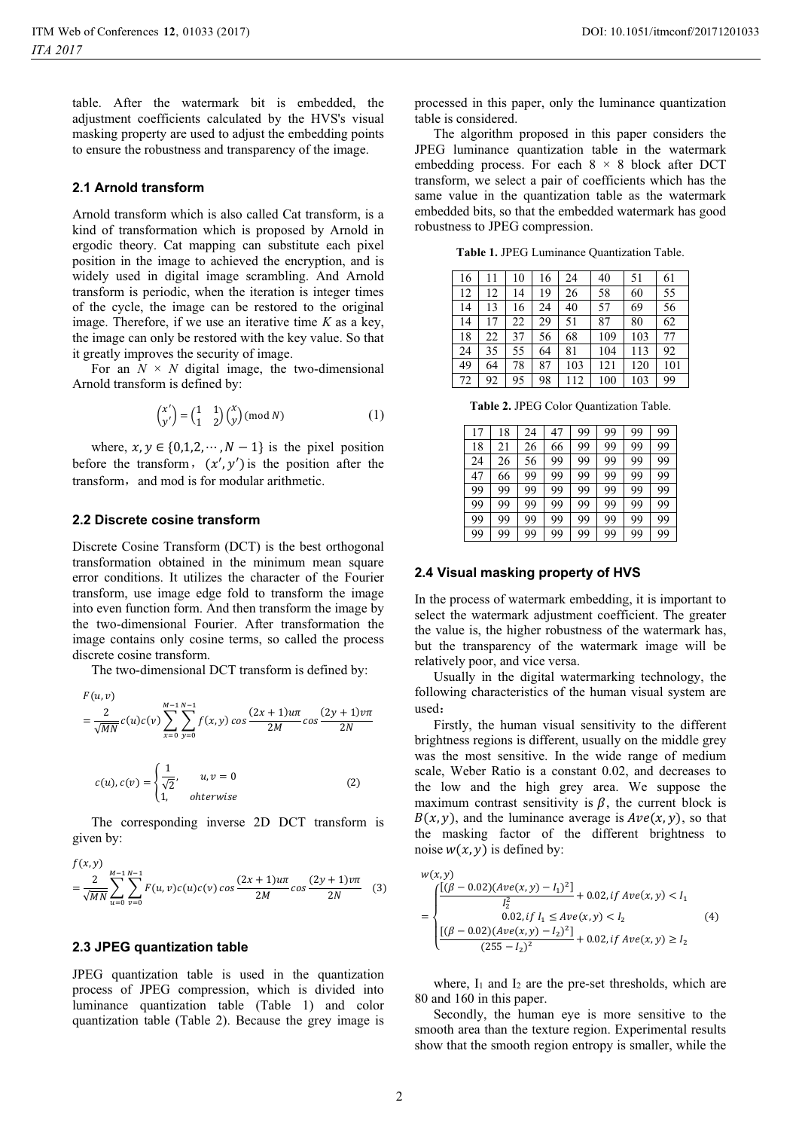table. After the watermark bit is embedded, the adjustment coefficients calculated by the HVS's visual masking property are used to adjust the embedding points to ensure the robustness and transparency of the image.

### **2.1 Arnold transform**

Arnold transform which is also called Cat transform, is a kind of transformation which is proposed by Arnold in ergodic theory. Cat mapping can substitute each pixel position in the image to achieved the encryption, and is widely used in digital image scrambling. And Arnold transform is periodic, when the iteration is integer times of the cycle, the image can be restored to the original image. Therefore, if we use an iterative time *K* as a key, the image can only be restored with the key value. So that it greatly improves the security of image.

For an  $N \times N$  digital image, the two-dimensional Arnold transform is defined by:

$$
\begin{pmatrix} x' \\ y' \end{pmatrix} = \begin{pmatrix} 1 & 1 \\ 1 & 2 \end{pmatrix} \begin{pmatrix} x \\ y \end{pmatrix} \pmod{N} \tag{1}
$$

where,  $x, y \in \{0, 1, 2, \dots, N - 1\}$  is the pixel position before the transform,  $(x', y')$  is the position after the transform, and mod is for modular arithmetic.

#### **2.2 Discrete cosine transform**

Discrete Cosine Transform (DCT) is the best orthogonal transformation obtained in the minimum mean square error conditions. It utilizes the character of the Fourier transform, use image edge fold to transform the image into even function form. And then transform the image by the two-dimensional Fourier. After transformation the image contains only cosine terms, so called the process discrete cosine transform.

The two-dimensional DCT transform is defined by:

$$
F(u, v)
$$
  
=  $\frac{2}{\sqrt{MN}}c(u)c(v)\sum_{x=0}^{M-1}\sum_{y=0}^{N-1}f(x, y)cos\frac{(2x+1)u\pi}{2M}cos\frac{(2y+1)v\pi}{2N}$ 

$$
c(u), c(v) = \begin{cases} \frac{1}{\sqrt{2}}, & u, v = 0\\ 1, & otherwise \end{cases}
$$
 (2)

The corresponding inverse 2D DCT transform is given by:

$$
f(x,y) = \frac{2}{\sqrt{MN}} \sum_{u=0}^{M-1} \sum_{v=0}^{N-1} F(u,v)c(u)c(v) \cos \frac{(2x+1)u\pi}{2M} \cos \frac{(2y+1)v\pi}{2N}
$$
 (3)

#### **2.3 JPEG quantization table**

JPEG quantization table is used in the quantization process of JPEG compression, which is divided into luminance quantization table (Table 1) and color quantization table (Table 2). Because the grey image is

processed in this paper, only the luminance quantization table is considered.

The algorithm proposed in this paper considers the JPEG luminance quantization table in the watermark embedding process. For each  $8 \times 8$  block after DCT transform, we select a pair of coefficients which has the same value in the quantization table as the watermark embedded bits, so that the embedded watermark has good robustness to JPEG compression.

**Table 1.** JPEG Luminance Quantization Table.

| 16 | 11 | 10 | 16 | 24  | 40  | 51  | 61  |
|----|----|----|----|-----|-----|-----|-----|
| 12 | 12 | 14 | 19 | 26  | 58  | 60  | 55  |
| 14 | 13 | 16 | 24 | 40  | 57  | 69  | 56  |
| 14 | 17 | 22 | 29 | 51  | 87  | 80  | 62  |
| 18 | 22 | 37 | 56 | 68  | 109 | 103 | 77  |
| 24 | 35 | 55 | 64 | 81  | 104 | 113 | 92  |
| 49 | 64 | 78 | 87 | 103 | 121 | 120 | 101 |
| 72 | 92 | 95 | 98 | 112 | 100 | 103 | 99  |

**Table 2.** JPEG Color Quantization Table.

| 17 | 18 | 24 | 47 | 99 | 99 | 99 | 99 |
|----|----|----|----|----|----|----|----|
| 18 | 21 | 26 | 66 | 99 | 99 | 99 | 99 |
| 24 | 26 | 56 | 99 | 99 | 99 | 99 | 99 |
| 47 | 66 | 99 | 99 | 99 | 99 | 99 | 99 |
| 99 | 99 | 99 | 99 | 99 | 99 | 99 | 99 |
| 99 | 99 | 99 | 99 | 99 | 99 | 99 | 99 |
| 99 | 99 | 99 | 99 | 99 | 99 | 99 | 99 |
| 99 | 99 | 99 | 99 | 99 | 99 | 99 | 99 |

#### **2.4 Visual masking property of HVS**

In the process of watermark embedding, it is important to select the watermark adjustment coefficient. The greater the value is, the higher robustness of the watermark has, but the transparency of the watermark image will be relatively poor, and vice versa.

Usually in the digital watermarking technology, the following characteristics of the human visual system are used:

Firstly, the human visual sensitivity to the different brightness regions is different, usually on the middle grey was the most sensitive. In the wide range of medium scale, Weber Ratio is a constant 0.02, and decreases to the low and the high grey area. We suppose the maximum contrast sensitivity is  $\beta$ , the current block is  $B(x, y)$ , and the luminance average is  $A v e(x, y)$ , so that the masking factor of the different brightness to noise  $w(x, y)$  is defined by:

$$
w(x, y)
$$
\n
$$
= \begin{cases}\n\frac{\left[ (\beta - 0.02)(Ave(x, y) - I_1)^2 \right]}{I_2^2} + 0.02, if Ave(x, y) < I_1 \\
0.02, if I_1 \le Ave(x, y) < I_2 \\
\frac{\left[ (\beta - 0.02)(Ave(x, y) - I_2)^2 \right]}{(255 - I_2)^2} + 0.02, if Ave(x, y) \ge I_2\n\end{cases} \tag{4}
$$

where,  $I_1$  and  $I_2$  are the pre-set thresholds, which are 80 and 160 in this paper.

Secondly, the human eye is more sensitive to the smooth area than the texture region. Experimental results show that the smooth region entropy is smaller, while the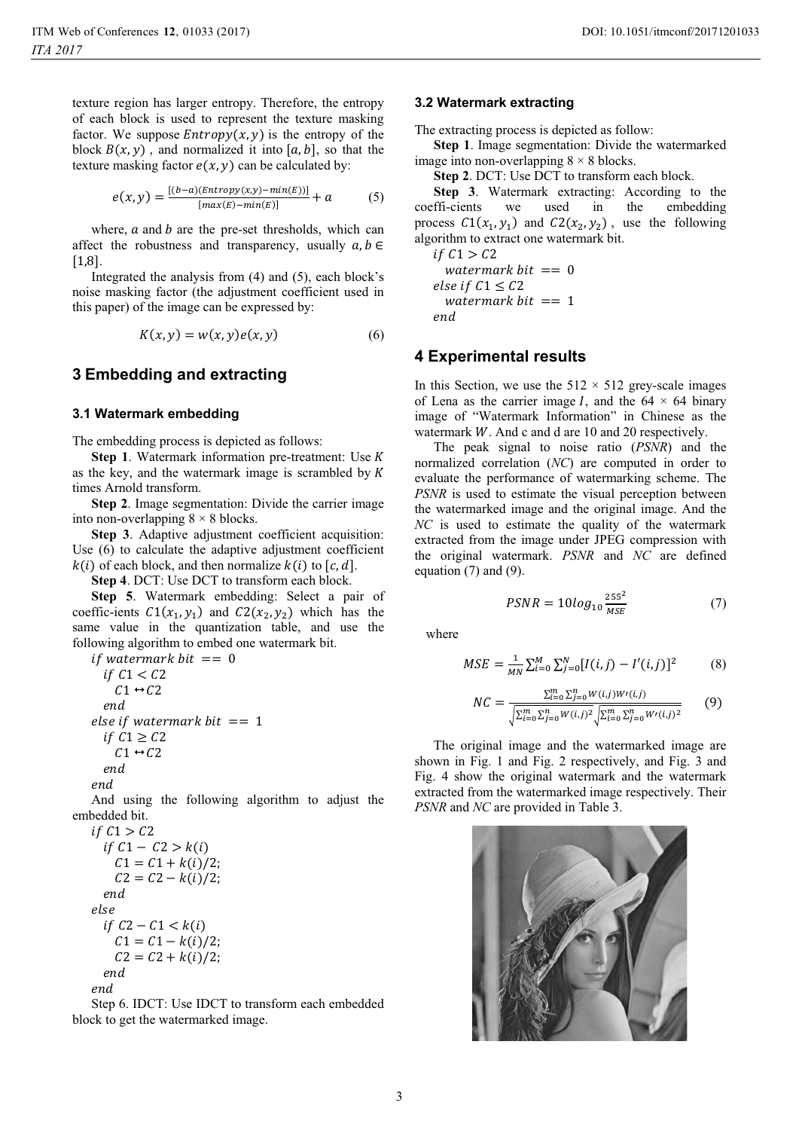texture region has larger entropy. Therefore, the entropy of each block is used to represent the texture masking factor. We suppose  $Entropy(x, y)$  is the entropy of the block  $B(x, y)$ , and normalized it into [a, b], so that the texture masking factor  $e(x, y)$  can be calculated by:

$$
e(x,y) = \frac{[(b-a)(Entropy(x,y) - min(E))]}{[max(E) - min(E)]} + a \tag{5}
$$

where,  $\alpha$  and  $\beta$  are the pre-set thresholds, which can affect the robustness and transparency, usually  $a, b \in$ [1,8].

Integrated the analysis from (4) and (5), each block's noise masking factor (the adjustment coefficient used in this paper) of the image can be expressed by:

$$
K(x, y) = w(x, y)e(x, y)
$$
 (6)

## **3 Embedding and extracting**

#### **3.1 Watermark embedding**

The embedding process is depicted as follows:

**Step 1**. Watermark information pre-treatment: Use R as the key, and the watermark image is scrambled by R times Arnold transform.

**Step 2**. Image segmentation: Divide the carrier image into non-overlapping  $8 \times 8$  blocks.

**Step 3**. Adaptive adjustment coefficient acquisition: Use (6) to calculate the adaptive adjustment coefficient  $k(i)$  of each block, and then normalize  $k(i)$  to  $[c, d]$ .

**Step 4**. DCT: Use DCT to transform each block.

**Step 5**. Watermark embedding: Select a pair of coeffic-ients  $C1(x_1, y_1)$  and  $C2(x_2, y_2)$  which has the same value in the quantization table, and use the following algorithm to embed one watermark bit.

 $if watermark bit == 0$  $if C1 < C2$  $C1 \leftrightarrow C2$ end. else if watermark bit  $== 1$  $if C1 \ge C2$  $C1 \leftrightarrow C2$ end end And using the following algorithm to adjust the embedded bit.  $if C1 > C2$  $if C1 - C2 > k(i)$  $C1 = C1 + k(i)/2;$  $C2 = C2 - k(i)/2;$ end else  $if C2 - C1 < k(i)$  $C1 = C1 - k(i)/2;$ 

 $C2 = C2 + k(i)/2;$ end end

Step 6. IDCT: Use IDCT to transform each embedded block to get the watermarked image.

#### **3.2 Watermark extracting**

The extracting process is depicted as follow:

**Step 1**. Image segmentation: Divide the watermarked image into non-overlapping  $8 \times 8$  blocks.

**Step 2**. DCT: Use DCT to transform each block.

**Step 3**. Watermark extracting: According to the coeffi-cients we used in the embedding process  $C1(x_1, y_1)$  and  $C2(x_2, y_2)$ , use the following algorithm to extract one watermark bit.

 $if C1 > C2$ watermark bit  $== 0$  $else if C1 \leq C2$ watermark bit  $== 1$ end.

### **4 Experimental results**

In this Section, we use the  $512 \times 512$  grey-scale images of Lena as the carrier image I, and the  $64 \times 64$  binary image of "Watermark Information" in Chinese as the watermark  $W$ . And c and d are 10 and 20 respectively.

The peak signal to noise ratio (*PSNR*) and the normalized correlation (*NC*) are computed in order to evaluate the performance of watermarking scheme. The *PSNR* is used to estimate the visual perception between the watermarked image and the original image. And the *NC* is used to estimate the quality of the watermark extracted from the image under JPEG compression with the original watermark. *PSNR* and *NC* are defined equation (7) and (9).

$$
PSNR = 10log_{10} \frac{255^2}{MSE} \tag{7}
$$

where

$$
MSE = \frac{1}{MN} \sum_{i=0}^{M} \sum_{j=0}^{N} [I(i,j) - I'(i,j)]^2
$$
 (8)

$$
NC = \frac{\sum_{i=0}^{m} \sum_{j=0}^{n} W(i,j)W'(i,j)}{\sqrt{\sum_{i=0}^{m} \sum_{j=0}^{n} W(i,j)^2} \sqrt{\sum_{i=0}^{m} \sum_{j=0}^{n} W'(i,j)^2}}
$$
(9)

The original image and the watermarked image are shown in Fig. 1 and Fig. 2 respectively, and Fig. 3 and Fig. 4 show the original watermark and the watermark extracted from the watermarked image respectively. Their *PSNR* and *NC* are provided in Table 3.

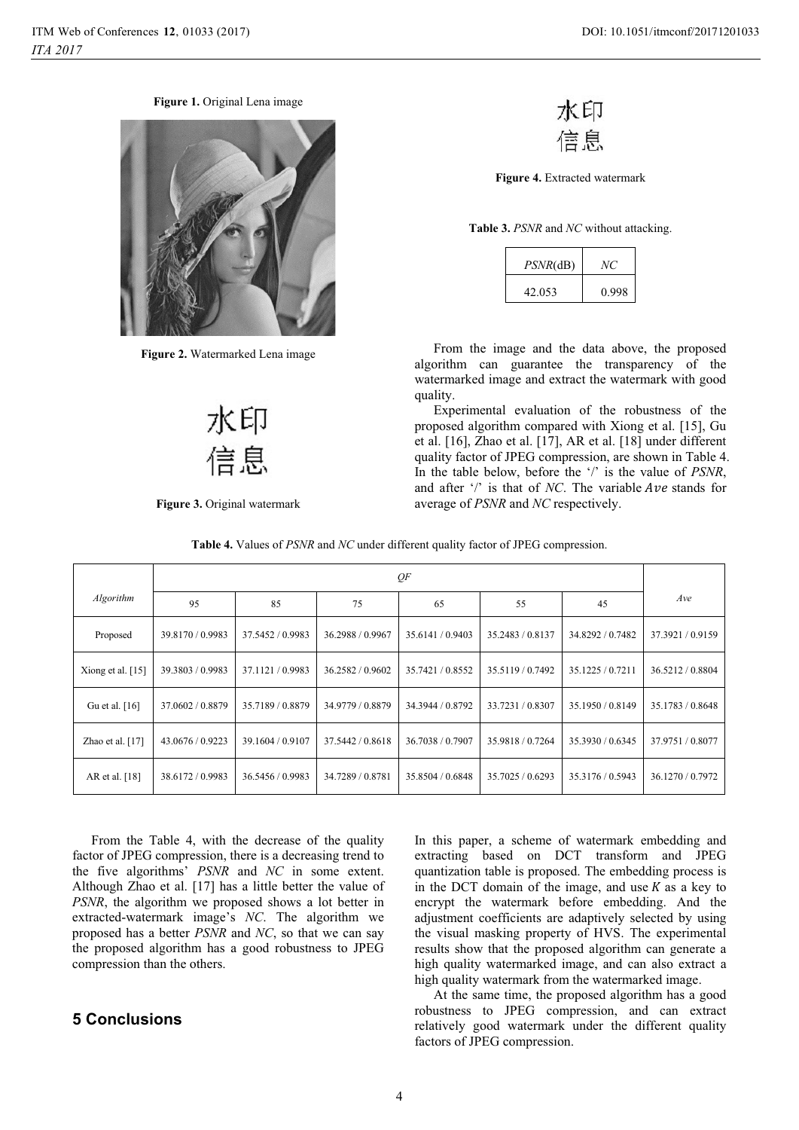**Figure 1.** Original Lena image



**Figure 2.** Watermarked Lena image



**Figure 3.** Original watermark



**Figure 4.** Extracted watermark

**Table 3.** *PSNR* and *NC* without attacking.

| $PSNR$ (dB) | NC    |
|-------------|-------|
| 42.053      | 0.998 |

From the image and the data above, the proposed algorithm can guarantee the transparency of the watermarked image and extract the watermark with good quality.

Experimental evaluation of the robustness of the proposed algorithm compared with Xiong et al. [15], Gu et al. [16], Zhao et al. [17], AR et al. [18] under different quality factor of JPEG compression, are shown in Table 4. In the table below, before the '/' is the value of *PSNR*, and after '/' is that of *NC*. The variable *Ave* stands for average of *PSNR* and *NC* respectively.

| <b>Table 4.</b> Values of <i>PSNR</i> and <i>NC</i> under different quality factor of JPEG compression. |  |
|---------------------------------------------------------------------------------------------------------|--|
|                                                                                                         |  |

|                     | QF               |                  |                  |                  |                  |                  |                  |
|---------------------|------------------|------------------|------------------|------------------|------------------|------------------|------------------|
| Algorithm           | 95               | 85               | 75               | 65               | 55               | 45               | Ave              |
| Proposed            | 39.8170 / 0.9983 | 37.5452 / 0.9983 | 36.2988 / 0.9967 | 35.6141 / 0.9403 | 35.2483 / 0.8137 | 34.8292 / 0.7482 | 37.3921/0.9159   |
| Xiong et al. $[15]$ | 39.3803 / 0.9983 | 37.1121/0.9983   | 36.2582 / 0.9602 | 35.7421 / 0.8552 | 35.5119/0.7492   | 35.1225 / 0.7211 | 36.5212/0.8804   |
| Gu et al. [16]      | 37.0602 / 0.8879 | 35.7189 / 0.8879 | 34.9779 / 0.8879 | 34.3944 / 0.8792 | 33.7231/0.8307   | 35.1950 / 0.8149 | 35.1783 / 0.8648 |
| Zhao et al. [17]    | 43.0676 / 0.9223 | 39.1604 / 0.9107 | 37.5442 / 0.8618 | 36.7038 / 0.7907 | 35.9818 / 0.7264 | 35.3930 / 0.6345 | 37.9751 / 0.8077 |
| AR et al. [18]      | 38.6172 / 0.9983 | 36.5456 / 0.9983 | 34.7289 / 0.8781 | 35.8504 / 0.6848 | 35.7025 / 0.6293 | 35.3176 / 0.5943 | 36.1270 / 0.7972 |

From the Table 4, with the decrease of the quality factor of JPEG compression, there is a decreasing trend to the five algorithms' *PSNR* and *NC* in some extent. Although Zhao et al. [17] has a little better the value of *PSNR*, the algorithm we proposed shows a lot better in extracted-watermark image's *NC*. The algorithm we proposed has a better *PSNR* and *NC*, so that we can say the proposed algorithm has a good robustness to JPEG compression than the others.

## **5 Conclusions**

In this paper, a scheme of watermark embedding and extracting based on DCT transform and JPEG quantization table is proposed. The embedding process is in the DCT domain of the image, and use  $K$  as a key to encrypt the watermark before embedding. And the adjustment coefficients are adaptively selected by using the visual masking property of HVS. The experimental results show that the proposed algorithm can generate a high quality watermarked image, and can also extract a high quality watermark from the watermarked image.

At the same time, the proposed algorithm has a good robustness to JPEG compression, and can extract relatively good watermark under the different quality factors of JPEG compression.